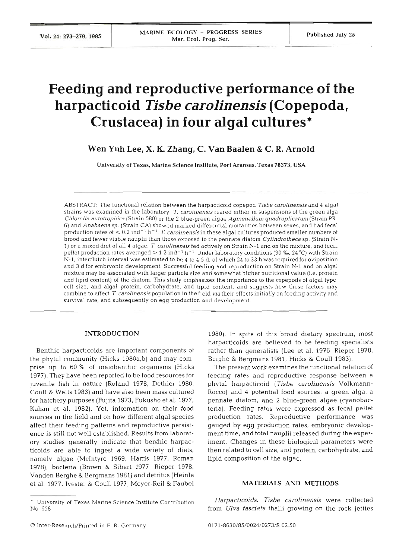# **Feeding and reproductive performance of the harpacticoid** *Tisbe carolinensis* **(Copepoda, Crustacea) in four algal cultures\***

# **Wen Yuh Lee, X. K. Zhang, C. Van Baalen** & **C. R. Arnold**

University of Texas, Marine Science Institute, Port Aransas, Texas **78373,** USA

ABSTRACT: The functional relation between the harpacticoid copepod Tisbe carolinensis and 4 algal strains was examined in the laboratory. *T.* carolinensis reared either in suspensions of the green alga Chlorella autotrophica (Strain 580) or the 2 blue-green algae Agmenellum quadruplicatum (Strain **PR-***6)* and Anabaena sp. (Strain CA) showed marked differential mortalities between sexes, and had fecal production rates of  $< 0.2$  ind<sup>-1</sup> h<sup>-1</sup>. T. carolinensis in these algal cultures produced smaller numbers of brood and fewer viable nauplii than those exposed to the pennate diatom Cylindrotheca sp. (Strain N-1) or a mixed diet of all 4 algae. T carolinensis fed actively on Strain N-1 and on the mixture, and fecal pellet production rates averaged  $> 1.2$  ind<sup>-1</sup> h<sup>-1</sup> Under laboratory conditions (30 ‰, 24 °C) with Strain N-1, interclutch interval was estimated to be 4 to 4.5 d, of which 24 to 33 h was required for oviposition and 3 d for embryonic development. Successful feeding and reproduction on Strain N-1 and on algal mixture may be associated with larger particle size and somewhat higher nutritional value (i.e. protein and lipid content) of the diatom. This study emphasizes the importance to the copepods of algal type, cell size, and algal protein, carbohydrate, and lipid content, and suggests how these factors may combine to affect T. carolinensis population in the field via their effects initially on feeding activity and survival rate, and subsequently on egg production and development.

#### **INTRODUCTI**

Benthic harpacticoids are important components of the phytal community (Hicks 1980a,b) and may comprise up to 60 % of meiobenthic organisms (Hicks 1977). They have been reported to be food resources for juvenile fish in nature (Roland 1978, Dethier 1980, Coull & Wells 1983) and have also been mass cultured for hatchery purposes (Fujita 1973, Fukusho et al. 1977, Kahan et al. 1982). Yet, information on their food sources in the field and on how different algal species affect their feeding patterns and reproductive persistence is still not well established. Results from laboratory studies generally indicate that benthic harpacticoids are able to ingest a wide variety of diets, namely algae (McIntyre 1969, Harris 1977, Roman 1978), bacteria (Brown & Sibert 1977, Rieper 1978, Vanden Berghe & Bergmans 1981) and detritus (Heinle et al. 1977, Ivester & Coull 1977, Meyer-Reil & Faubel

pennate diatom, and 2 blue-green algae (cyanobacteria). Feeding rates were expressed as fecal pellet production rates. Reproductive performance was gauged by egg production rates, embryonic develop-

ment time, and total nauplii released during the experiment. Changes in these biological parameters were then related to cell size, and protein, carbohydrate, and lipid composition of the algae.

1980). In spite of this broad dietary spectrum, most harpacticoids are believed to be feeding specialists rather than generalists (Lee et al. 1976, Rieper 1978, Berghe & Bergmans 1981, Hicks & Coull 1983).

The present work examines the functional relation of feeding rates and reproductive response between a phytal harpacticoid (Tisbe carolinensis Volkmann-Rocco) and 4 potential food sources; a green alga, a

#### **MATERIALS AND METHODS**

Harpacticoids. Tisbe carolinensis were collected from *Ulva fasciata* thalli growing on the rock jetties

<sup>&#</sup>x27; University of Texas Marine Science Institute Contribution No. 658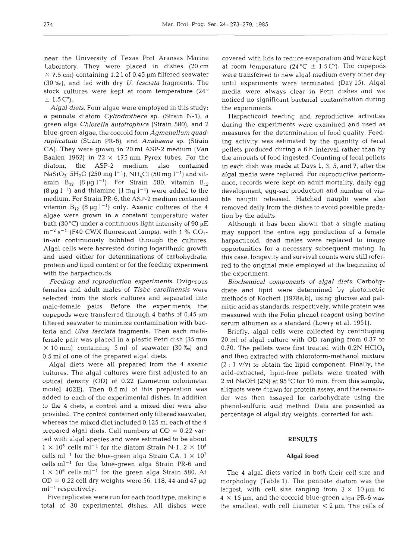near the University of Texas Port Aransas Marine Laboratory. They were placed in dishes (20cm  $\times$  7.5 cm) containing 1.2 l of 0.45 µm filtered seawater (30 %), and fed with dry *U. fasciata* fragments. The stock cultures were kept at room temperature (24"  $\pm$  1.5 C°).

*Algal diets.* Four algae were employed in this study: a pennate diatom *Cylindrotheca* sp. (Strain N-l), a green alga *Chlorella autotrophica* (Strain 580), and 2 blue-green algae, the coccoid form *Agmenellum quadruplicatum* (Strain PR-6), and *Anabaena* sp. (Strain CA). They were grown in 20 m1 ASP-2 medium (Van Baalen 1962) in  $22 \times 175$  mm Pyrex tubes. For the diatom, the ASP-2 medium also contained  $NaSiO_3·5H_2O$  (250 mg l<sup>-1</sup>), NH<sub>4</sub>Cl (50 mg l<sup>-1</sup>) and vitamin  $B_{12}$  (8  $\mu$ g l<sup>-1</sup>). For Strain 580, vitamin  $B_{12}$  $(8 \mu g l^{-1})$  and thiamine  $(1 \text{ mg } l^{-1})$  were added to the medium. For Strain PR-6, the ASP-2 medium contained vitamin  $B_{12}$  (8  $\mu$ g l<sup>-1</sup>) only. Axenic cultures of the 4 algae were grown in a constant temperature water bath (30 °C) under a continuous light intensity of 90  $\mu$ E  $m^{-2}$  s<sup>-1</sup> (F40 CWX fluorescent lamps), with 1 % CO<sub>2</sub>in-air continuously bubbled through the cultures. Algal cells were harvested during logarithmic growth and used either for determinations of carbohydrate, protein and lipid content or for the feeding experiment with the harpacticoids.

*Feeding and reproduction experiments.* Ovigerous females and adult males of *Tisbe carolinensis* were selected from the stock cultures and separated into male-female pairs. Before the experiments, the copepods were transferred through 4 baths of  $0.45 \mu m$ filtered seawater to minimize contamination with bacteria and *Ulva fasciata* fragments. Then each malefemale pair was placed in a plastic Petri dish (35 mm  $\times$  10 mm) containing 5 ml of seawater (30 %o) and 0.5 m1 of one of the prepared algal diets.

Algal diets were all prepared from the 4 axenic cultures. The algal cultures were first adjusted to an optical density (OD) of 0.22 (Lumetron colorimeter model 402E). Then 0.5 m1 of this preparation was added to each of the experimental dishes. In addition to the 4 diets, a control and a mixed diet were also provided. The control contained only filtered seawater, whereas the mixed diet included 0.125 m1 each of the 4 prepared algal diets. Cell numbers at  $OD = 0.22$  varied with algal species and were estimated to be about  $1 \times 10^5$  cells ml<sup>-1</sup> for the diatom Strain N-1,  $2 \times 10^5$ cells ml<sup>-1</sup> for the blue-green alga Strain CA,  $1 \times 10^7$  $cells$   $ml^{-1}$  for the blue-green alga Strain PR-6 and  $1 \times 10^6$  cells ml<sup>-1</sup> for the green alga Strain 580. At  $OD = 0.22$  cell dry weights were 56, 118, 44 and 47  $\mu$ g  $ml^{-1}$  respectively.

Five replicates were run for each food type, making a total of 30 experimental dishes. All dishes were

covered with lids to reduce evaporation and were kept at room temperature (24 °C  $\pm$  1.5 C°). The copepods were transferred to new algal medium every other day until experiments were terminated (Day 15). Algal media were always clear in Petri dishes and we noticed no significant bacterial contamination during the experiments.

Harpacticoid feeding and reproductive activities during the experiments were examined and used as measures for the determination of food quality. Feeding activity was estimated by the quantity of fecal pellets produced during a 6 h interval rather than by the amounts of food ingested. Counting of fecal pellets in each dish was made at Days 1, 3, 5, and 7, after the algal media were replaced. For reproductive performance, records were kept on adult mortality, daily egg development, egg-sac production and number of viable nauplii released. Hatched nauplii were also removed daily from the dishes to avoid possible predation by the adults.

Although it has been shown that a single mating may support the entire egg production of a female harpacticoid, dead males were replaced to insure opportunities for a necessary subsequent mating. In this case, longevity and survival counts were still referred to the original male employed at the beginning of the experiment.

*Biochemical components* of *algal diets.* Carbohydrate and lipid were determined by photometric methods of Kochert (1978a,b), using glucose and palmitic acid as standards, respectively, while protein was measured with the Folin phenol reagent using bovine serum albumen as a standard (Lowry et al. 1951).

Briefly, algal cells were collected by centrifuging 20 m1 of algal culture with OD ranging from 0.37 to 0.70. The pellets were first treated with  $0.2N$  HClO<sub>4</sub> and then extracted with chloroform-methanol mixture  $(2:1 \text{ v/v})$  to obtain the lipid component. Finally, the acid-extracted, lipid-free pellets were treated with 2 m1 NaOH (2N) at 95 "C for 10 min. From this sample, aliquots were drawn for protein assay, and the remainder was then assayed for carbohydrate using the phenol-sulfuric acid method. Data are presented as percentage of algal dry weights, corrected for ash.

#### **RESULTS**

#### Algal **food**

The 4 algal diets varied in both their cell size and morphology (Table 1). The pennate diatom was the largest, with cell size ranging from  $3 \times 10 \,\mu m$  to  $4 \times 15$  µm, and the coccoid blue-green alga PR-6 was the smallest, with cell diameter  $< 2 \mu m$ . The cells of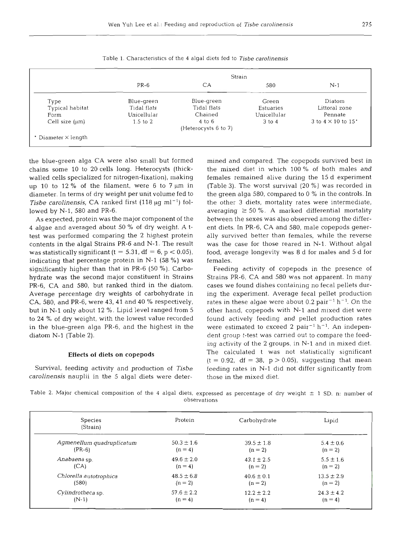| ٧ | I |
|---|---|

|                     |              |                      | Strain      |                                         |
|---------------------|--------------|----------------------|-------------|-----------------------------------------|
|                     | $PR-6$       | CA                   | 580         | $N-1$                                   |
| Type                | Blue-green   | Blue-green           | Green       | Diatom                                  |
| Typical habitat     | Tidal flats  | Tidal flats          | Estuaries   | Littoral zone                           |
| Form                | Unicellular  | Chained              | Unicellular | Pennate                                 |
| Cell size $(\mu m)$ | $1.5$ to $2$ | $4 \text{ to } 6$    | 3 to 4      | 3 to $4 \times 10$ to $15$ <sup>*</sup> |
|                     |              | (Heterocysts 6 to 7) |             |                                         |

Table 1. Characteristics of the 4 algal diets fed to *Tisbe carolinensis* 

the blue-green alga CA were also small but formed chains some 10 to 20 cells long. Heterocysts (thickwalled cells specialized for nitrogen-fixation), making up 10 to 12 % of the filament, were 6 to  $7 \mu m$  in diameter. In terms of dry weight per unit volume fed to *Tisbe carolinensis,* CA ranked first  $(118 \mu g \text{ ml}^{-1})$  followed by N-l, 580 and PR-6.

As expected, protein was the major component of the 4 algae and averaged about 50 % of dry weight. **A** ttest was performed comparing the 2 highest protein contents in the algal Strains PR-6 and N-l. The result was statistically significant (t = 5.31, df = 6,  $p < 0.05$ ), indicating that percentage protein in  $N-1$  (58 %) was significantly higher than that in PR-6 (50 %). Carbohydrate was the second major constituent in Strains PR-6, CA and 580, but ranked third in the diatom. Average percentage dry weights of carbohydrate in CA, 580, and PR-6, were 43, 41 and 40 % respectively, but in N-1 only about 12 %. Lipid level ranged from 5 to 24 % of dry weight, with the lowest value recorded in the blue-green alga PR-6, and the highest in the diatom N-l (Table 2).

## Effects of diets on copepods

Survival, feeding activity and production of *Tisbe carolinensis* nauplii in the 5 algal diets were deter-

mined and compared. The copepods survived best<br>the mixed die in which 100 % of both males remained alive during the 15 d experim<br>(Table 3). The worst survival (20 %) was recorded<br>the green alga 580, compared to 0 % in the those in the mixed diet.

Table 2. Major chemical composition of the 4 algal diets, expressed as percentage of dry weight  $\pm$  1 SD. n: number of observations

| Species<br>(Strain)       | Protein        | Carbohydrate   | Lipid          |
|---------------------------|----------------|----------------|----------------|
| Agmenellum quadruplicatum | $50.3 \pm 1.6$ | $39.5 \pm 1.8$ | $5.4 \pm 0.6$  |
| $(PR-6)$                  | $(n = 4)$      | $(n = 2)$      | $(n = 2)$      |
| Anabaena sp.              | $49.6 \pm 2.0$ | $43.1 \pm 2.5$ | $5.5 \pm 1.6$  |
| (CA)                      | $(n=4)$        | $(n = 2)$      | $(n = 2)$      |
| Chlorella autotrophica    | $48.5 \pm 6.8$ | $40.6 \pm 0.1$ | $13.5 \pm 2.9$ |
| (580)                     | $(n = 2)$      | $(n = 2)$      | $(n = 2)$      |
| Cylindrotheca sp.         | $57.6 \pm 2.2$ | $12.2 \pm 2.2$ | $24.3 \pm 4.2$ |
| $(N-1)$                   | $(n=4)$        | $(n = 4)$      | $(n = 4)$      |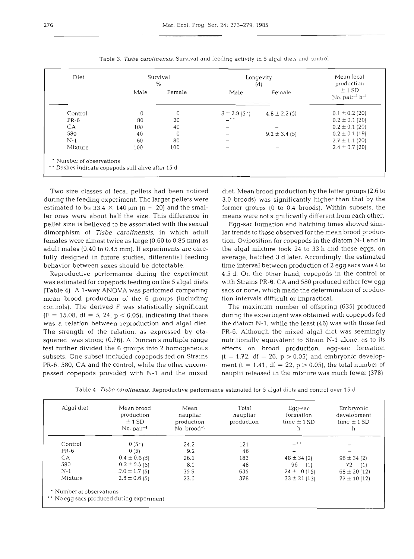| Diet                                                                        |          | Survival<br>$\%$ |                        | Longevity<br>(d)  |                                 |  |
|-----------------------------------------------------------------------------|----------|------------------|------------------------|-------------------|---------------------------------|--|
|                                                                             | Male     | Female           | Male                   | Female            | ± 1 SD<br>No. $pair^{-1}h^{-1}$ |  |
| Control                                                                     | $\Omega$ | $\overline{0}$   | $8 \pm 2.9(5^{\circ})$ | $4.8 \pm 2.2$ (5) | $0.1 \pm 0.2$ (20)              |  |
| $PR-6$                                                                      | 80       | 20               | $ \cdot$ $\cdot$       |                   | $0.2 \pm 0.1$ (20)              |  |
| CA.                                                                         | 100      | 40               |                        |                   | $0.2 \pm 0.1$ (20)              |  |
| 580                                                                         | 40       | 0                |                        | $9.2 \pm 3.4$ (5) | $0.2 \pm 0.1$ (19)              |  |
| $N-1$                                                                       | 60       | 80               |                        |                   | $2.7 \pm 1.1$ (20)              |  |
| Mixture                                                                     | 100      | 100              |                        |                   | $2.4 \pm 0.7$ (20)              |  |
| * Number of observations<br>Dashes indicate copepods still alive after 15 d |          |                  |                        |                   |                                 |  |

Table 3. *Tisbe carolinensis.* Survival and feeding activity in 5 algal diets and control

Two size classes of fecal pellets had been noticed during the feeding experiment. The larger pellets were estimated to be 33.4  $\times$  140  $\mu$ m (n = 20) and the smaller ones were about half the size. This difference in pellet size is believed to be associated with the sexual dimorphism of **Tisbe** *carolinensis,* in which adult females were almost twice as large (0.60 to 0.85 mm) as adult males (0.40 to 0.45 mm). If experiments are carefully designed in future studies, differential feeding behavior between sexes should be detectable.

Reproductive performance during the experiment was estimated for copepods feeding on the 5 algal diets (Table 4). A l-way ANOVA was performed comparing mean brood production of the 6 groups (including controls). The derived F was statistically significant  $(F = 15.08, df = 5, 24, p < 0.05)$ , indicating that there was a relation between reproduction and algal diet. The strength of the relation, as expressed by etasquared, was strong (0.76). A Duncan's multiple range test further divided the 6 groups into **2** homogeneous subsets. One subset included copepods fed on Strains PR-6, 580, CA and the control, while the other encompassed copepods provided with N-l and the mixed diet. Mean brood production by the latter groups (2.6 to 3.0 broods) was significantly higher than that by the former groups (0 to 0.4 broods). Within subsets, the means were not significantly different from each other.

Egg-sac formation and hatching times showed similar trends to those observed for the mean brood production. Oviposition for copepods in the diatom N-l and in the algal mixture took 24 to 33 h and these eggs, on average, hatched 3 d later. Accordingly, the estimated time interval between production of **2** egg sacs was 4 to 4.5 d. On the other hand, copepods in the control or with Strains PR-6, CA and 580 produced either few egg sacs or none, which made the determination of production intervals difficult or impractical.

The maximum number of offspring (635) produced during the experiment was obtained with copepods fed the diatom N-l, while the least (46) was with those fed PR-6. Although the mixed algal diet was seemingly nutritionally equivalent to Strain N-l alone, as to its effects on brood production, egg-sac formation  $(t = 1.72, df = 26, p > 0.05)$  and embryonic development (t = 1.41,  $df = 22$ ,  $p > 0.05$ ), the total number of nauplii released in the mixture was much fewer (378).

|  | Table 4. Tisbe carolinensis. Reproductive performance estimated for 5 algal diets and control over 15 d |  |  |  |  |  |  |  |  |  |
|--|---------------------------------------------------------------------------------------------------------|--|--|--|--|--|--|--|--|--|
|--|---------------------------------------------------------------------------------------------------------|--|--|--|--|--|--|--|--|--|

| Algal diet | Mean brood<br>production<br>± 1 SD<br>$No. pair-1$ | Mean<br>naupliar<br>production<br>$No. broad-1$ | Total<br>naupliar<br>production | Egg-sac<br>formation<br>time $\pm$ 1 SD<br>h | Embryonic<br>development<br>time $\pm$ 1 SD<br>h |
|------------|----------------------------------------------------|-------------------------------------------------|---------------------------------|----------------------------------------------|--------------------------------------------------|
| Control    | 0(5")                                              | 24.2                                            | 121                             | _                                            |                                                  |
| $PR-6$     | 0(5)                                               | 9.2                                             | 46                              |                                              |                                                  |
| CA.        | $0.4 \pm 0.6(5)$                                   | 26.1                                            | 183                             | $48 \pm 34$ (2)                              | $96 \pm 34$ (2)                                  |
| 580        | $0.2 \pm 0.5$ (5)                                  | 8.0                                             | 48                              | 96<br>(1)                                    | 72<br>(1)                                        |
| $N-1$      | $3.0 \pm 1.7$ (5)                                  | 35.9                                            | 635                             | $24 \pm 0(15)$                               | $68 \pm 20$ (12)                                 |
| Mixture    | $2.6 \pm 0.6$ (5)                                  | 23.6                                            | 378                             | $33 \pm 21$ (13)                             | $77 \pm 10(12)$                                  |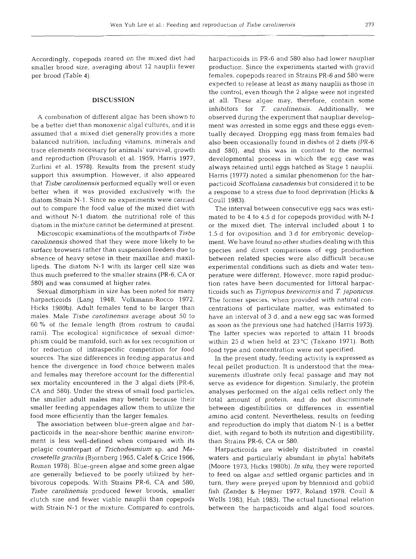Accordingly, copepods reared on the mixed diet had smaller brood size, averaging about 12 nauplii fewer per brood (Table 4).

## **DISCUSSION**

A combination of different algae has been shown to be a better diet than monoxenic algal cultures, and it is assumed that a mixed diet generally provides a more balanced nutrition, including vitamins, minerals and trace elements necessary for animals' survival, growth and reproduction (Provasoli et al. 1959, Harris 1977, Zurlini et al. 1978). Results from the present study support this assumption. However, it also appeared that *Tisbe carolinensis* performed equally well or even better when it was provided exclusively with the diatom Strain N-l. Since no experiments were carried out to compare the food value of the mixed diet with and without N-l diatom, the nutritional role of this diatom in the mixture cannot be determined at present.

Microscopic examinations of the mouthparts of *Tisbe carolinensis* showed that they were more likely to be surface browsers rather than suspension feeders due to absence of heavy setose in their maxillae and maxillipeds. The diatom N-l with its larger cell size was thus much preferred to the smaller strains (PR-6, CA or 580) and was consumed at higher rates.

Sexual dimorphism in size has been noted for many harpacticoids (Lang 1948, Volkmann-Rocco 1972, Hicks 1980b). Adult females tend to be larger than males. Male *Tisbe carolinensis* average about 50 to 60 % of the female length (from rostrum to caudal rami). The ecological significance of sexual dimorphism could be manifold, such as for sex recognition or for reduction of intraspecific competition for food sources. The size differences in feeding apparatus and hence the divergence in food choice between males and females may therefore account for the differential sex mortality encountered in the 3 algal diets (PR-6, CA and 580). Under the stress of small food particles, the smaller adult males may benefit because their smaller feeding appendages allow them to utilize the food more efficiently than the larger females.

The association between blue-green algae and harpacticoids in the near-shore benthic marine environment is less well-defined when compared with its pelagic counterpart of *Trichodesmiurn* sp. and *Macrosetella gracilis* (Bjornberg 1965, Calef & Grice 1966, Roman 1978). Blue-green algae and some green algae are generally believed to be poorly utilized by herbivorous copepods. With Strains PR-6, CA and 580, *Tisbe carolinensis* produced fewer broods, smaller clutch size and fewer viable nauplii than copepods with Strain N-l or the mixture. Compared to controls,

harpacticoids in PR-6 and 580 also had lower naupliar production. Since the experiments started with gravid females, copepods reared in Strains PR-6 and 580 were expected to release at least as many nauplii as those in the control, even though the 2 algae were not ingested at all. These algae may, therefore, contain some inhibitors for T. *carolinensis*. Additionally, we observed during the experiment that naupliar development was arrested in some eggs and these eggs eventually decayed. Dropping egg mass from females had also been occasionally found in dishes of 2 diets (PR-6 and 580), and this was in contrast to the normal developmental process in which the egg case was always retained until eggs hatched as Stage 1 nauplii. Harris (1977) noted a similar phenomenon for the harpacticoid *Scottolana canadensis* but considered it to be a response to a stress due to food deprivation (Hicks & Coull 1983).

The interval between consecutive egg sacs was estimated to be 4 to 4.5 d for copepods provided with N-l or the mixed diet. The interval included about 1 to 1.5 d for oviposition and 3 d for embryonic development. We have found no other studies dealing with this species and direct comparisons of egg production between related species were also difficult because experimental conditions such as diets and water temperature were different. However, more rapid production rates have been documented for littoral harpacticoids such as *Tigriopus brevicornis* and *T. japonicus.*  The former species, when provided with natural concentrations of particulate matter, was estimated to have an interval of 3 d, and a new egg sac was formed as soon as the previous one had hatched (Harris 1973). The latter species was reported to attain 11 broods within 25 d when held at 23°C (Takano 1971). Both food type and concentration were not specified.

In the present study, feeding activity is expressed as fecal pellet production. It is understood that the measurements illustrate only fecal passage and may not serve as evidence for digestion. Similarly, the protein analyses performed on the algal cells reflect only the total amount of protein, and do not discriminate between digestibilities or differences in essential amino acid content. Nevertheless, results on feeding and reproduction do imply that diatom N-l is a better diet, with regard to both its nutrition and digestibility, than Strains PR-6, CA or 580.

Harpacticoids are widely distributed in coastal waters and particularly abundant in phytal habitats (Moore 1973, Hicks 1980b). *In situ,* they were reported to feed on algae and settled organic particles and in turn, they were preyed upon by blennioid and gobiid fish (Zander & Heymer 1977, Roland 1978, Coull & Wells 1983, Huh 1983). The actual functional relation between the harpacticoids and algal food sources,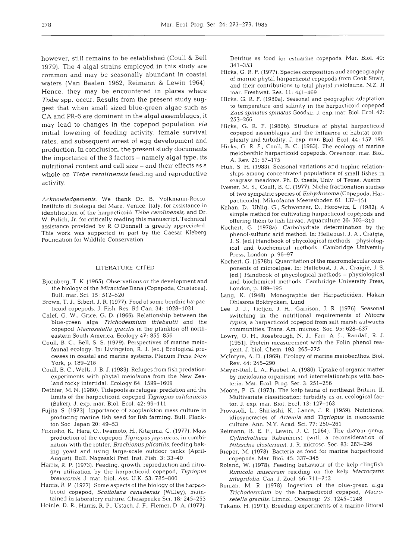however, still remains to be established (Coull & Bell 1979). The 4 algal strains employed in this study are common and may be seasonally abundant in coastal waters (Van Baalen 1962, Reimann & Lewin 1964). Hence, they may be encountered in places where **Tisbe** spp. occur. Results from the present study suggest that when small sized blue-green algae such as CA and PR-6 are dominant in the algal assemblages, it may lead to changes in the copepod population via initial lowering of feeding activity, female survival rates, and subsequent arrest of egg development and production. In conclusion, the present study documents the importance of the **3** factors - namely algal type, its nutritional content and cell size – and their effects as a whole on *Tisbe carolinensis* feeding and reproductive activity.

*Acknowledgements.* We thank Dr. B. Volkmann-Rocco, Instituto di Biologia del Mare, Venice, Italy, for assistance in identification of the harpacticoid *Tisbe carolinensis,* and Dr. W. Pulich, Jr. for critically reading this manuscript. Technical assistance provided by R. O'Donnell is greatly appreciated. This work was supported in part by the Caesar Kleberg Foundation for Wildlife conservation.

#### LITERATURE CITED

- Bjornberg, T. K. (1965). Observations on the development and the biology of the *Miracidae* Dana (Copepoda, Crustacea). Bull. mar. Sci. 15: 512-520
- Brown, T. J., Sibert, J. R. (1977). Food of some benthic harpacticoid copepods. J. Fish. Res. Bd Can. 34: 1028-1031
- Calef, G. W., Grice, G. D. (1966). Relationship between the blue-green alga *Trichodesmium thiebautii* and the copepod *Macrosetella gracilis* in the plankton off northeastern South America. Ecology 47: 855-856
- Coull, B. C.. Bell. S. S. (1979). Perspectives of marine meiofauna1 ecology. In: Livingston, R. J. (ed.) Ecological processes in coastal and marine systems. Plenum Press. New York. p. 189-216
- Coull, B. C., Wells, J. B. J. (1983). Refuges from fish predation: experiments with phytal meiofauna from the New Zealand rocky intertidal. Ecology 64: 1599-1609
- Dethier, M. N. (1980). Tidepools as refuges: predation and the limits of the harpacticoid copepod *Tigriopus californicus*  (Baker). J. exp. mar. Biol. Ecol. 42: 99-111
- Fujita, S. (1973). Importance of zooplankton mass culture in producing marine fish seed for fish farming. Bull. Plankton Soc. Japan 20: 49-53
- Fukusho, K., Hara, O., Iwamoto, H., Kitajima, C. (1977). Mass production of the copepod *Tigriopus japonicus,* in combination with the rotifer, *Brachionusplicatilis,* feedlng baking yeast and using large-scale outdoor tanks (April-August). Bull. Nagasaki Pref. Inst. Fish. 3: 33-40
- Harris, R. P. (1973). Feeding, growth, reproduction and nitrogen utilization by the harpacticoid copepod. Tigriopus *brevicornis.* J. mar. biol. Ass. U.K. 53: 785-800
- Harris, R. P. (1977). Some aspects of the biology of the harpacticoid copepod, *Scottolana canadensis* (Willey), maintained in laboratory culture. Chesapeake Sci. 18: 245-253
- Heinle, D. R., Harris, R. P,, Ustach, J. F., Flemer, D. A. (1977).

Detritus as food for estuarine copepods. Mar. Biol. 40: 341-353

- Hicks, G. R. F. (1977). Species composltion and zoogeography of marine phytal harpacticoid copepods from Cook Strait, and their contributions to total phytal meiofauna. N.Z. J1 mar. Freshwat. Res. 11: 441-469
- Hicks, G. R. F. (1980a). Seasonal and geographic adaptation to temperature and salinity in the harpacticoid copepod *Zaus spinatus sp~natus* Goodsir, *J.* exp. mar. Biol. Ecol. 42: 253-266
- Hicks, G. R. F. (1980b). Structure of phytal harpacticoid copepod assemblages and the influence of habitat complexity and turbidity. J. exp. mar. Biol. Ecol. 44: 157-192
- Hicks, G. R. F.. Coull, B. C. (1983). The ecology of marine meiobenthic harpacticoid copepods. Oceanogr. mar. Biol. A. Rev. 21: 67-175
- Huh, S. H. (1983). Seasonal variations and trophic relationships among concentrated populations of small fishes in seagrass meadows. Ph. D, thesis, Univ. of Texas, Austin
- Ivester, M. S., Coull, B. C. (1977). Niche fractionation studies of two syrnpatric species of *Enhydrosoma* (Copepoda, Harpacticoida). Mikrofauna Meeresboden 61: 137-151
- Kahan, D., Uhlig, G., Schwenzer, D., Horowitz, L. (1982). A simple method for cultivating harpacticoid copepods and offering them to fish larvae. Aquaculture 26: 303-310
- Kochert, G. (1978a). Carbohydrate determination by the phenol-sulfuric acid method. In: Hellebust, J. A., Craigie, J. S. (ed.) Handbook of phycological methods - physiological and biochemical methods. Cambridge University Press, London, p. 96-97
- Kochert, G. (1978b). Quantitation of the macromolecular components of microalgae. In: Hellebust, J. A., Craigie, J. S. (ed.) Handbook of phycological methods - physiological and biochemical methods. Cambridge University Press, London, p. 189-195
- Lang, K. (1948). Monographie der Harpacticiden. Hakan Ohlssons Boktryckeri, Lund
- Lee, J. J., Tietjen, J. H., Garrison, J. R. (1976). Seasonal switching in the nutritional requirements of *Nitocra typica,* a harpacticoid copepod from salt marsh aufwuchs communities. Trans. **Am.** microsc. Soc. 95: 628-637
- Lowry. 0. H., Rosebrough, N. J., Farr, A. L., Randall, R. J. (1951). Protein measurement with the Folin phenol reagent. J. biol. Chem. 193: 265-275
- McIntyre, **A.** D. (1969). Ecology of marine meiobenthos. Biol. Rev. 44: 245-290
- Meyer-Reil, L. A., Faubel, A. (1980). Uptake of organic matter by meiofauna organisms and interrelationships with bacteria. Mar. Ecol. Prog. Ser. 3: 251-256
- Moore, P. G. (1973). The kelp fauna of northeast Britain. 11. Multivariate classification: turbidity as an ecological factor. J. exp. mar. Biol. Ecol. 13: 127-163
- Provasoli, L., Shiriashi, K., Lance, J. R. (1959). Nutritional idiosyncracies of *Artemia* and *Tigriopus* in monoxenic culture. Ann. N.Y. Acad. Sci. 77: 250-261
- Reimann, B. E. F., Lewin, J. C. (1964). The diatom genus *Cylindrotheca* Rabenhorst (with a reconsideration of *Nitzschia closterium).* J. *R.* microsc. Soc. 83: 283-296
- Rieper, M. (1978). Bacteria as food for marine harpacticoid copepods. Mar. Biol. 45: 337-345
- Roland. W. (1978). Feeding behaviour of the kelp clingfish *Rimicola muscarurn* residing on the kelp *Macrocystis ~ntegrifolia.* Can. J. Zool. 56: 711-712
- Roman, M. R. (1978). Ingestion of the blue-green alga *Trichodesmium* by the harpacticoid copepod, *Macrosetella gracilis.* Limnol. Oceanogr 23: 1245-1 248
- Takano, H. (1971). Breeding experiments of a marine littoral